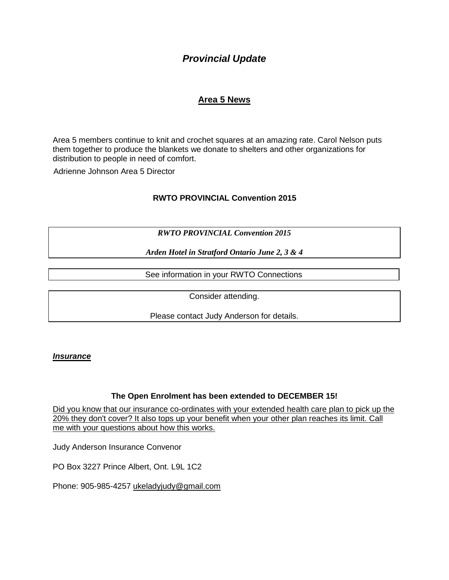# *Provincial Update*

# **Area 5 News**

Area 5 members continue to knit and crochet squares at an amazing rate. Carol Nelson puts them together to produce the blankets we donate to shelters and other organizations for distribution to people in need of comfort.

Adrienne Johnson Area 5 Director

## **RWTO PROVINCIAL Convention 2015**

*RWTO PROVINCIAL Convention 2015*

*Arden Hotel in Stratford Ontario June 2, 3 & 4* 

See information in your RWTO Connections

Consider attending.

Please contact Judy Anderson for details.

#### *Insurance*

### **The Open Enrolment has been extended to DECEMBER 15!**

[Did you know that our insurance co-ordinates with your extended health care plan to pick up the](mailto:ukelady49@powergate.ca)  [20% they don't cover? It also tops up your benefit when your other plan reaches its limit. Call](mailto:ukelady49@powergate.ca)  [me with your questions about how this works.](mailto:ukelady49@powergate.ca)

Judy Anderson Insurance Convenor

PO Box 3227 Prince Albert, Ont. L9L 1C2

Phone: 905-985-4257 [ukeladyjudy@gmail.com](mailto:ukelady49@powergate.ca)